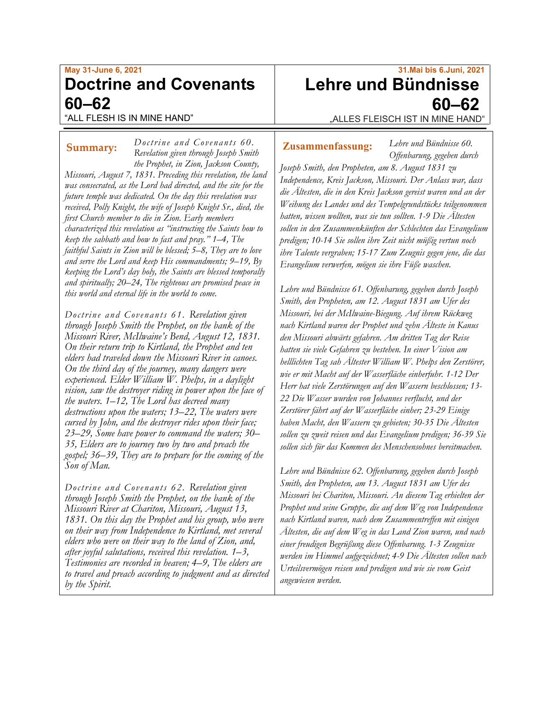## **May 31-June 6, 2021 Doctrine and Covenants 60–62** "ALL FLESH IS IN MINE HAND"

*Doctrine and Covenants 60.*

*Revelation given through Joseph Smith the Prophet, in Zion, Jackson County, Missouri, August 7, 1831. Preceding this revelation, the land was consecrated, as the Lord had directed, and the site for the future temple was dedicated. On the day this revelation was received, Polly Knight, the wife of Joseph Knight Sr., died, the first Church member to die in Zion. Early members characterized this revelation as "instructing the Saints how to keep the sabbath and how to fast and pray." 1–4, The faithful Saints in Zion will be blessed; 5–8, They are to love and serve the Lord and keep His commandments; 9–19, By keeping the Lord's day holy, the Saints are blessed temporally and spiritually; 20–24, The righteous are promised peace in this world and eternal life in the world to come.*

*Doctrine and Covenants 61. Revelation given through Joseph Smith the Prophet, on the bank of the Missouri River, McIlwaine's Bend, August 12, 1831. On their return trip to Kirtland, the Prophet and ten elders had traveled down the Missouri River in canoes. On the third day of the journey, many dangers were experienced. Elder William W. Phelps, in a daylight vision, saw the destroyer riding in power upon the face of the waters. 1–12, The Lord has decreed many destructions upon the waters; 13–22, The waters were cursed by John, and the destroyer rides upon their face; 23–29, Some have power to command the waters; 30– 35, Elders are to journey two by two and preach the gospel; 36–39, They are to prepare for the coming of the Son of Man.*

*Doctrine and Covenants 62. Revelation given through Joseph Smith the Prophet, on the bank of the Missouri River at Chariton, Missouri, August 13, 1831. On this day the Prophet and his group, who were on their way from Independence to Kirtland, met several elders who were on their way to the land of Zion, and, after joyful salutations, received this revelation. 1–3, Testimonies are recorded in heaven; 4–9, The elders are to travel and preach according to judgment and as directed by the Spirit.*

# **31.Mai bis 6.Juni, 2021 Lehre und Bündnisse 60–62**

"ALLES FLEISCH IST IN MINE HAND"

## **Summary:** Doctrine and Covenants 60. **Zusammenfassung:**

*Lehre und Bündnisse 60. Offenbarung, gegeben durch* 

*Joseph Smith, den Propheten, am 8. August 1831 zu Independence, Kreis Jackson, Missouri. Der Anlass war, dass die Ältesten, die in den Kreis Jackson gereist waren und an der Weihung des Landes und des Tempelgrundstücks teilgenommen hatten, wissen wollten, was sie tun sollten. 1-9 Die Ältesten sollen in den Zusammenkünften der Schlechten das Evangelium predigen; 10-14 Sie sollen ihre Zeit nicht müßig vertun noch ihre Talente vergraben; 15-17 Zum Zeugnis gegen jene, die das Evangelium verwerfen, mögen sie ihre Füße waschen.*

*Lehre und Bündnisse 61. Offenbarung, gegeben durch Joseph Smith, den Propheten, am 12. August 1831 am Ufer des Missouri, bei der McIlwaine-Biegung. Auf ihrem Rückweg nach Kirtland waren der Prophet und zehn Älteste in Kanus den Missouri abwärts gefahren. Am dritten Tag der Reise hatten sie viele Gefahren zu bestehen. In einer Vision am helllichten Tag sah Ältester William W. Phelps den Zerstörer, wie er mit Macht auf der Wasserfläche einherfuhr. 1-12 Der Herr hat viele Zerstörungen auf den Wassern beschlossen; 13- 22 Die Wasser wurden von Johannes verflucht, und der Zerstörer fährt auf der Wasserfläche einher; 23-29 Einige haben Macht, den Wassern zu gebieten; 30-35 Die Ältesten sollen zu zweit reisen und das Evangelium predigen; 36-39 Sie sollen sich für das Kommen des Menschensohnes bereitmachen.*

*Lehre und Bündnisse 62. Offenbarung, gegeben durch Joseph Smith, den Propheten, am 13. August 1831 am Ufer des Missouri bei Chariton, Missouri. An diesem Tag erhielten der Prophet und seine Gruppe, die auf dem Weg von Independence nach Kirtland waren, nach dem Zusammentreffen mit einigen Ältesten, die auf dem Weg in das Land Zion waren, und nach einer freudigen Begrüßung diese Offenbarung. 1-3 Zeugnisse werden im Himmel aufgezeichnet; 4-9 Die Ältesten sollen nach Urteilsvermögen reisen und predigen und wie sie vom Geist angewiesen werden.*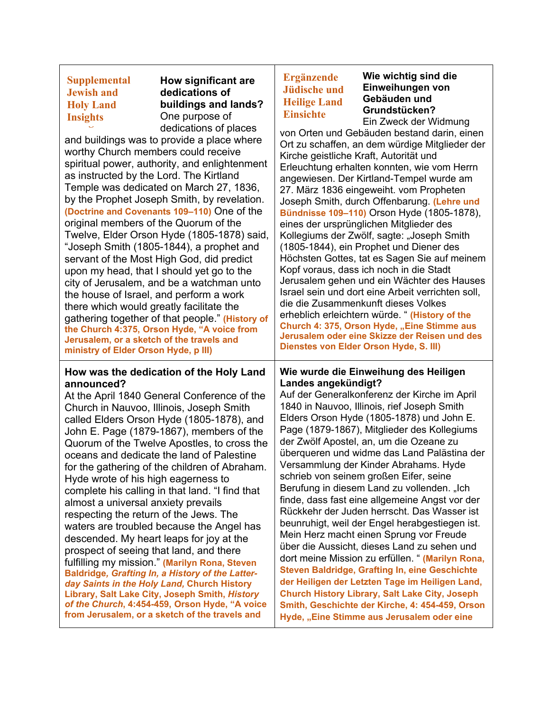**Supplemental Supplemental Jewish and Holy Land Holy Land Insights InsightsJewish and** 

**How significant are dedications of buildings and lands?** One purpose of dedications of places

and buildings was to provide a place where worthy Church members could receive spiritual power, authority, and enlightenment as instructed by the Lord. The Kirtland Temple was dedicated on March 27, 1836, by the Prophet Joseph Smith, by revelation. **(Doctrine and Covenants 109–110)** One of the original members of the Quorum of the Twelve, Elder Orson Hyde (1805-1878) said, "Joseph Smith (1805-1844), a prophet and servant of the Most High God, did predict upon my head, that I should yet go to the city of Jerusalem, and be a watchman unto the house of Israel, and perform a work there which would greatly facilitate the gathering together of that people." **(History of the Church 4:375[, O](http://churchhistorycatalog.lds.org/primo_library/libweb/action/search.do?fn=search&ct=search&initialSearch=true&mode=Basic&tab=chl&indx=1&dum=true&srt=rank&vid=CHL_STAFF&frbg=&tb=t&vl%28freeText0%29=a+voice+from+jerusalem&scp.scps=scope%3A%28ALEPH-CAX%29%2Cscope%3A%28ARCHIVES%29%2Cscope%3A%28LIBRARY%29%2Cscope%3A%28ALEPH-JHX%29%2Cscope%3A%28EAD%29%2Cscope%3A%28ALEPH-CPX%29&vl%2829692851UI1%29=all_items&vl%281UIStartWith0%29=contains)rson Hyde, "A voice from Jerusalem, or a sketch of the travels and ministry of Elder Orson Hyde, p III)**

#### **How was the dedication of the Holy Land announced?**

At the April 1840 General Conference of the Church in Nauvoo, Illinois, Joseph Smith called Elders Orson Hyde (1805-1878), and John E. Page (1879-1867), members of the Quorum of the Twelve Apostles, to cross the oceans and dedicate the land of Palestine for the gathering of the children of Abraham. Hyde wrote of his high eagerness to complete his calling in that land. "I find that almost a universal anxiety prevails respecting the return of the Jews. The waters are troubled because the Angel has descended. My heart leaps for joy at the prospect of seeing that land, and there fulfilling my mission." **(Marilyn Rona, Steven Baldridge***, Grafting In, a History of the Latterday Saints in the Holy Land,* **Church History Library, Salt Lake City, Joseph Smith,** *History of the Church***, 4:454-459, [O](http://churchhistorycatalog.lds.org/primo_library/libweb/action/search.do?fn=search&ct=search&initialSearch=true&mode=Basic&tab=chl&indx=1&dum=true&srt=rank&vid=CHL_STAFF&frbg=&tb=t&vl%28freeText0%29=a+voice+from+jerusalem&scp.scps=scope%3A%28ALEPH-CAX%29%2Cscope%3A%28ARCHIVES%29%2Cscope%3A%28LIBRARY%29%2Cscope%3A%28ALEPH-JHX%29%2Cscope%3A%28EAD%29%2Cscope%3A%28ALEPH-CPX%29&vl%2829692851UI1%29=all_items&vl%281UIStartWith0%29=contains)rson Hyde, "A voice from Jerusalem, or a sketch of the travels and**

## **Ergänzende Jüdische und Heilige Land Einsichte**

**Wie wichtig sind die Einweihungen von Gebäuden und Grundstücken?** Ein Zweck der Widmung

von Orten und Gebäuden bestand darin, einen Ort zu schaffen, an dem würdige Mitglieder der Kirche geistliche Kraft, Autorität und Erleuchtung erhalten konnten, wie vom Herrn angewiesen. Der Kirtland-Tempel wurde am 27. März 1836 eingeweiht. vom Propheten Joseph Smith, durch Offenbarung. **(Lehre und Bündnisse 109–110)** Orson Hyde (1805-1878), eines der ursprünglichen Mitglieder des Kollegiums der Zwölf, sagte: "Joseph Smith (1805-1844), ein Prophet und Diener des Höchsten Gottes, tat es Sagen Sie auf meinem Kopf voraus, dass ich noch in die Stadt Jerusalem gehen und ein Wächter des Hauses Israel sein und dort eine Arbeit verrichten soll, die die Zusammenkunft dieses Volkes erheblich erleichtern würde. " **(History of the Church 4: 375, Orson Hyde, "Eine Stimme aus Jerusalem oder eine Skizze der Reisen und des Dienstes von Elder Orson Hyde, S. III)**

## **Wie wurde die Einweihung des Heiligen Landes angekündigt?**

Auf der Generalkonferenz der Kirche im April 1840 in Nauvoo, Illinois, rief Joseph Smith Elders Orson Hyde (1805-1878) und John E. Page (1879-1867), Mitglieder des Kollegiums der Zwölf Apostel, an, um die Ozeane zu überqueren und widme das Land Palästina der Versammlung der Kinder Abrahams. Hyde schrieb von seinem großen Eifer, seine Berufung in diesem Land zu vollenden. "Ich finde, dass fast eine allgemeine Angst vor der Rückkehr der Juden herrscht. Das Wasser ist beunruhigt, weil der Engel herabgestiegen ist. Mein Herz macht einen Sprung vor Freude über die Aussicht, dieses Land zu sehen und dort meine Mission zu erfüllen. " **(Marilyn Rona, Steven Baldridge, Grafting In, eine Geschichte der Heiligen der Letzten Tage im Heiligen Land, Church History Library, Salt Lake City, Joseph Smith, Geschichte der Kirche, 4: 454-459, Orson Hyde, "Eine Stimme aus Jerusalem oder eine**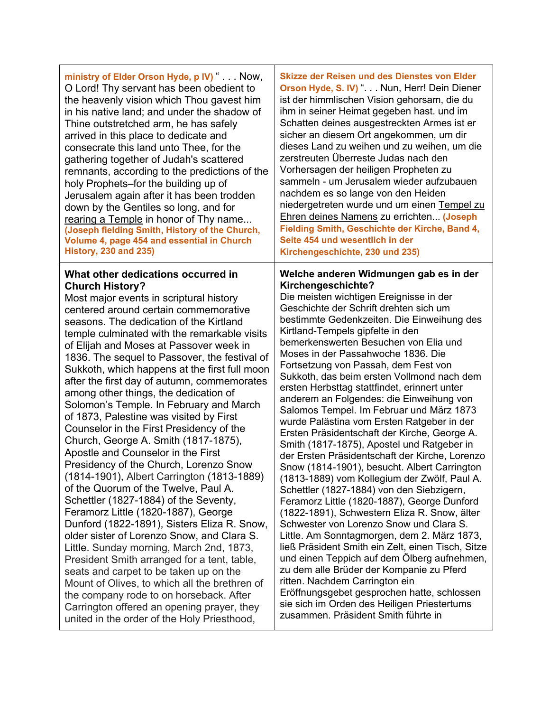| ministry of Elder Orson Hyde, p IV) " Now,                                                                                                                                                                                                                                                                                                                                                                                                                                                                                                                                                                                                                                                                                                                                                                                                                                                                                                                                                                                                                                                                                                                                                                                                                                                                                                  | <b>Skizze der Reisen und des Dienstes von Elder</b>                                                                                                                                                                                                                                                                                                                                                                                                                                                                                                                                                                                                                                                                                                                                                                                                                                                                                                                                                                                                                                                                                                                                                                                                                                                                                                                                                         |
|---------------------------------------------------------------------------------------------------------------------------------------------------------------------------------------------------------------------------------------------------------------------------------------------------------------------------------------------------------------------------------------------------------------------------------------------------------------------------------------------------------------------------------------------------------------------------------------------------------------------------------------------------------------------------------------------------------------------------------------------------------------------------------------------------------------------------------------------------------------------------------------------------------------------------------------------------------------------------------------------------------------------------------------------------------------------------------------------------------------------------------------------------------------------------------------------------------------------------------------------------------------------------------------------------------------------------------------------|-------------------------------------------------------------------------------------------------------------------------------------------------------------------------------------------------------------------------------------------------------------------------------------------------------------------------------------------------------------------------------------------------------------------------------------------------------------------------------------------------------------------------------------------------------------------------------------------------------------------------------------------------------------------------------------------------------------------------------------------------------------------------------------------------------------------------------------------------------------------------------------------------------------------------------------------------------------------------------------------------------------------------------------------------------------------------------------------------------------------------------------------------------------------------------------------------------------------------------------------------------------------------------------------------------------------------------------------------------------------------------------------------------------|
| O Lord! Thy servant has been obedient to                                                                                                                                                                                                                                                                                                                                                                                                                                                                                                                                                                                                                                                                                                                                                                                                                                                                                                                                                                                                                                                                                                                                                                                                                                                                                                    | Orson Hyde, S. IV) " Nun, Herr! Dein Diener                                                                                                                                                                                                                                                                                                                                                                                                                                                                                                                                                                                                                                                                                                                                                                                                                                                                                                                                                                                                                                                                                                                                                                                                                                                                                                                                                                 |
| the heavenly vision which Thou gavest him                                                                                                                                                                                                                                                                                                                                                                                                                                                                                                                                                                                                                                                                                                                                                                                                                                                                                                                                                                                                                                                                                                                                                                                                                                                                                                   | ist der himmlischen Vision gehorsam, die du                                                                                                                                                                                                                                                                                                                                                                                                                                                                                                                                                                                                                                                                                                                                                                                                                                                                                                                                                                                                                                                                                                                                                                                                                                                                                                                                                                 |
| in his native land; and under the shadow of                                                                                                                                                                                                                                                                                                                                                                                                                                                                                                                                                                                                                                                                                                                                                                                                                                                                                                                                                                                                                                                                                                                                                                                                                                                                                                 | ihm in seiner Heimat gegeben hast. und im                                                                                                                                                                                                                                                                                                                                                                                                                                                                                                                                                                                                                                                                                                                                                                                                                                                                                                                                                                                                                                                                                                                                                                                                                                                                                                                                                                   |
| Thine outstretched arm, he has safely                                                                                                                                                                                                                                                                                                                                                                                                                                                                                                                                                                                                                                                                                                                                                                                                                                                                                                                                                                                                                                                                                                                                                                                                                                                                                                       | Schatten deines ausgestreckten Armes ist er                                                                                                                                                                                                                                                                                                                                                                                                                                                                                                                                                                                                                                                                                                                                                                                                                                                                                                                                                                                                                                                                                                                                                                                                                                                                                                                                                                 |
| arrived in this place to dedicate and                                                                                                                                                                                                                                                                                                                                                                                                                                                                                                                                                                                                                                                                                                                                                                                                                                                                                                                                                                                                                                                                                                                                                                                                                                                                                                       | sicher an diesem Ort angekommen, um dir                                                                                                                                                                                                                                                                                                                                                                                                                                                                                                                                                                                                                                                                                                                                                                                                                                                                                                                                                                                                                                                                                                                                                                                                                                                                                                                                                                     |
| consecrate this land unto Thee, for the                                                                                                                                                                                                                                                                                                                                                                                                                                                                                                                                                                                                                                                                                                                                                                                                                                                                                                                                                                                                                                                                                                                                                                                                                                                                                                     | dieses Land zu weihen und zu weihen, um die                                                                                                                                                                                                                                                                                                                                                                                                                                                                                                                                                                                                                                                                                                                                                                                                                                                                                                                                                                                                                                                                                                                                                                                                                                                                                                                                                                 |
| gathering together of Judah's scattered                                                                                                                                                                                                                                                                                                                                                                                                                                                                                                                                                                                                                                                                                                                                                                                                                                                                                                                                                                                                                                                                                                                                                                                                                                                                                                     | zerstreuten Überreste Judas nach den                                                                                                                                                                                                                                                                                                                                                                                                                                                                                                                                                                                                                                                                                                                                                                                                                                                                                                                                                                                                                                                                                                                                                                                                                                                                                                                                                                        |
| remnants, according to the predictions of the                                                                                                                                                                                                                                                                                                                                                                                                                                                                                                                                                                                                                                                                                                                                                                                                                                                                                                                                                                                                                                                                                                                                                                                                                                                                                               | Vorhersagen der heiligen Propheten zu                                                                                                                                                                                                                                                                                                                                                                                                                                                                                                                                                                                                                                                                                                                                                                                                                                                                                                                                                                                                                                                                                                                                                                                                                                                                                                                                                                       |
| holy Prophets–for the building up of                                                                                                                                                                                                                                                                                                                                                                                                                                                                                                                                                                                                                                                                                                                                                                                                                                                                                                                                                                                                                                                                                                                                                                                                                                                                                                        | sammeln - um Jerusalem wieder aufzubauen                                                                                                                                                                                                                                                                                                                                                                                                                                                                                                                                                                                                                                                                                                                                                                                                                                                                                                                                                                                                                                                                                                                                                                                                                                                                                                                                                                    |
| Jerusalem again after it has been trodden                                                                                                                                                                                                                                                                                                                                                                                                                                                                                                                                                                                                                                                                                                                                                                                                                                                                                                                                                                                                                                                                                                                                                                                                                                                                                                   | nachdem es so lange von den Heiden                                                                                                                                                                                                                                                                                                                                                                                                                                                                                                                                                                                                                                                                                                                                                                                                                                                                                                                                                                                                                                                                                                                                                                                                                                                                                                                                                                          |
| down by the Gentiles so long, and for                                                                                                                                                                                                                                                                                                                                                                                                                                                                                                                                                                                                                                                                                                                                                                                                                                                                                                                                                                                                                                                                                                                                                                                                                                                                                                       | niedergetreten wurde und um einen Tempel zu                                                                                                                                                                                                                                                                                                                                                                                                                                                                                                                                                                                                                                                                                                                                                                                                                                                                                                                                                                                                                                                                                                                                                                                                                                                                                                                                                                 |
| rearing a Temple in honor of Thy name                                                                                                                                                                                                                                                                                                                                                                                                                                                                                                                                                                                                                                                                                                                                                                                                                                                                                                                                                                                                                                                                                                                                                                                                                                                                                                       | Ehren deines Namens zu errichten (Joseph                                                                                                                                                                                                                                                                                                                                                                                                                                                                                                                                                                                                                                                                                                                                                                                                                                                                                                                                                                                                                                                                                                                                                                                                                                                                                                                                                                    |
| (Joseph fielding Smith, History of the Church,                                                                                                                                                                                                                                                                                                                                                                                                                                                                                                                                                                                                                                                                                                                                                                                                                                                                                                                                                                                                                                                                                                                                                                                                                                                                                              | Fielding Smith, Geschichte der Kirche, Band 4,                                                                                                                                                                                                                                                                                                                                                                                                                                                                                                                                                                                                                                                                                                                                                                                                                                                                                                                                                                                                                                                                                                                                                                                                                                                                                                                                                              |
| Volume 4, page 454 and essential in Church                                                                                                                                                                                                                                                                                                                                                                                                                                                                                                                                                                                                                                                                                                                                                                                                                                                                                                                                                                                                                                                                                                                                                                                                                                                                                                  | Seite 454 und wesentlich in der                                                                                                                                                                                                                                                                                                                                                                                                                                                                                                                                                                                                                                                                                                                                                                                                                                                                                                                                                                                                                                                                                                                                                                                                                                                                                                                                                                             |
| <b>History, 230 and 235)</b>                                                                                                                                                                                                                                                                                                                                                                                                                                                                                                                                                                                                                                                                                                                                                                                                                                                                                                                                                                                                                                                                                                                                                                                                                                                                                                                | Kirchengeschichte, 230 und 235)                                                                                                                                                                                                                                                                                                                                                                                                                                                                                                                                                                                                                                                                                                                                                                                                                                                                                                                                                                                                                                                                                                                                                                                                                                                                                                                                                                             |
| What other dedications occurred in<br><b>Church History?</b><br>Most major events in scriptural history<br>centered around certain commemorative<br>seasons. The dedication of the Kirtland<br>temple culminated with the remarkable visits<br>of Elijah and Moses at Passover week in<br>1836. The sequel to Passover, the festival of<br>Sukkoth, which happens at the first full moon<br>after the first day of autumn, commemorates<br>among other things, the dedication of<br>Solomon's Temple. In February and March<br>of 1873, Palestine was visited by First<br>Counselor in the First Presidency of the<br>Church, George A. Smith (1817-1875),<br>Apostle and Counselor in the First<br>Presidency of the Church, Lorenzo Snow<br>(1814-1901), Albert Carrington (1813-1889)<br>of the Quorum of the Twelve, Paul A.<br>Schettler (1827-1884) of the Seventy,<br>Feramorz Little (1820-1887), George<br>Dunford (1822-1891), Sisters Eliza R. Snow,<br>older sister of Lorenzo Snow, and Clara S.<br>Little. Sunday morning, March 2nd, 1873,<br>President Smith arranged for a tent, table,<br>seats and carpet to be taken up on the<br>Mount of Olives, to which all the brethren of<br>the company rode to on horseback. After<br>Carrington offered an opening prayer, they<br>united in the order of the Holy Priesthood, | Welche anderen Widmungen gab es in der<br>Kirchengeschichte?<br>Die meisten wichtigen Ereignisse in der<br>Geschichte der Schrift drehten sich um<br>bestimmte Gedenkzeiten. Die Einweihung des<br>Kirtland-Tempels gipfelte in den<br>bemerkenswerten Besuchen von Elia und<br>Moses in der Passahwoche 1836. Die<br>Fortsetzung von Passah, dem Fest von<br>Sukkoth, das beim ersten Vollmond nach dem<br>ersten Herbsttag stattfindet, erinnert unter<br>anderem an Folgendes: die Einweihung von<br>Salomos Tempel. Im Februar und März 1873<br>wurde Palästina vom Ersten Ratgeber in der<br>Ersten Präsidentschaft der Kirche, George A.<br>Smith (1817-1875), Apostel und Ratgeber in<br>der Ersten Präsidentschaft der Kirche, Lorenzo<br>Snow (1814-1901), besucht. Albert Carrington<br>(1813-1889) vom Kollegium der Zwölf, Paul A.<br>Schettler (1827-1884) von den Siebzigern,<br>Feramorz Little (1820-1887), George Dunford<br>(1822-1891), Schwestern Eliza R. Snow, älter<br>Schwester von Lorenzo Snow und Clara S.<br>Little. Am Sonntagmorgen, dem 2. März 1873,<br>ließ Präsident Smith ein Zelt, einen Tisch, Sitze<br>und einen Teppich auf dem Ölberg aufnehmen,<br>zu dem alle Brüder der Kompanie zu Pferd<br>ritten. Nachdem Carrington ein<br>Eröffnungsgebet gesprochen hatte, schlossen<br>sie sich im Orden des Heiligen Priestertums<br>zusammen. Präsident Smith führte in |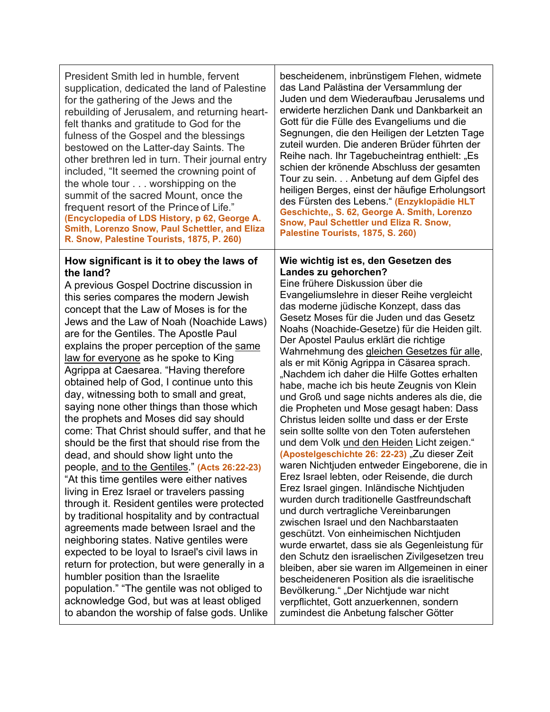President Smith led in humble, fervent supplication, dedicated the land of Palestine for the gathering of the Jews and the rebuilding of Jerusalem, and returning heartfelt thanks and gratitude to God for the fulness of the Gospel and the blessings bestowed on the Latter-day Saints. The other brethren led in turn. Their journal entry included, "It seemed the crowning point of the whole tour . . . worshipping on the summit of the sacred Mount, once the frequent resort of the Prince of Life." **(Encyclopedia of LDS History, p 62, George A. Smith, Lorenzo Snow, Paul Schettler, and Eliza R. Snow, Palestine Tourists, 1875, P. 260)**

### **How significant is it to obey the laws of the land?**

A previous Gospel Doctrine discussion in this series compares the modern Jewish concept that the Law of Moses is for the Jews and the Law of Noah (Noachide Laws) are for the Gentiles. The Apostle Paul explains the proper perception of the same law for everyone as he spoke to King Agrippa at Caesarea. "Having therefore obtained help of God, I continue unto this day, witnessing both to small and great, saying none other things than those which the prophets and Moses did say should come: That Christ should suffer, and that he should be the first that should rise from the dead, and should show light unto the people, and to the Gentiles." **(Acts 26:22-23)** "At this time gentiles were either natives living in Erez Israel or travelers passing through it. Resident gentiles were protected by traditional hospitality and by contractual agreements made between Israel and the neighboring states. Native gentiles were expected to be loyal to Israel's civil laws in return for protection, but were generally in a humbler position than the Israelite population." "The gentile was not obliged to acknowledge God, but was at least obliged to abandon the worship of false gods. Unlike bescheidenem, inbrünstigem Flehen, widmete das Land Palästina der Versammlung der Juden und dem Wiederaufbau Jerusalems und erwiderte herzlichen Dank und Dankbarkeit an Gott für die Fülle des Evangeliums und die Segnungen, die den Heiligen der Letzten Tage zuteil wurden. Die anderen Brüder führten der Reihe nach. Ihr Tagebucheintrag enthielt: "Es schien der krönende Abschluss der gesamten Tour zu sein. . . Anbetung auf dem Gipfel des heiligen Berges, einst der häufige Erholungsort des Fürsten des Lebens." **(Enzyklopädie HLT Geschichte,, S. 62, George A. Smith, Lorenzo Snow, Paul Schettler und Eliza R. Snow, Palestine Tourists, 1875, S. 260)**

#### **Wie wichtig ist es, den Gesetzen des Landes zu gehorchen?**

Eine frühere Diskussion über die Evangeliumslehre in dieser Reihe vergleicht das moderne jüdische Konzept, dass das Gesetz Moses für die Juden und das Gesetz Noahs (Noachide-Gesetze) für die Heiden gilt. Der Apostel Paulus erklärt die richtige Wahrnehmung des gleichen Gesetzes für alle, als er mit König Agrippa in Cäsarea sprach. "Nachdem ich daher die Hilfe Gottes erhalten habe, mache ich bis heute Zeugnis von Klein und Groß und sage nichts anderes als die, die die Propheten und Mose gesagt haben: Dass Christus leiden sollte und dass er der Erste sein sollte sollte von den Toten auferstehen und dem Volk und den Heiden Licht zeigen." **(Apostelgeschichte 26: 22-23)** "Zu dieser Zeit waren Nichtjuden entweder Eingeborene, die in Erez Israel lebten, oder Reisende, die durch Erez Israel gingen. Inländische Nichtjuden wurden durch traditionelle Gastfreundschaft und durch vertragliche Vereinbarungen zwischen Israel und den Nachbarstaaten geschützt. Von einheimischen Nichtjuden wurde erwartet, dass sie als Gegenleistung für den Schutz den israelischen Zivilgesetzen treu bleiben, aber sie waren im Allgemeinen in einer bescheideneren Position als die israelitische Bevölkerung." "Der Nichtjude war nicht verpflichtet, Gott anzuerkennen, sondern zumindest die Anbetung falscher Götter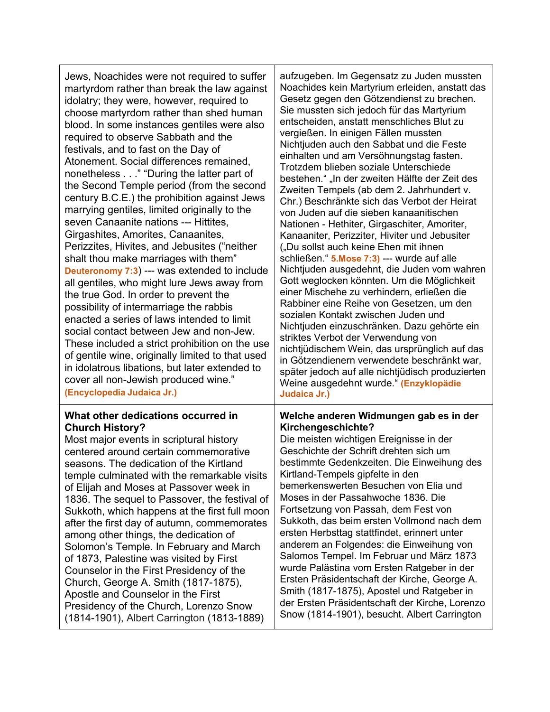| Jews, Noachides were not required to suffer<br>martyrdom rather than break the law against<br>idolatry; they were, however, required to<br>choose martyrdom rather than shed human<br>blood. In some instances gentiles were also<br>required to observe Sabbath and the<br>festivals, and to fast on the Day of<br>Atonement. Social differences remained,<br>nonetheless" "During the latter part of<br>the Second Temple period (from the second<br>century B.C.E.) the prohibition against Jews<br>marrying gentiles, limited originally to the<br>seven Canaanite nations --- Hittites,<br>Girgashites, Amorites, Canaanites,<br>Perizzites, Hivites, and Jebusites ("neither<br>shalt thou make marriages with them"<br>Deuteronomy 7:3) --- was extended to include<br>all gentiles, who might lure Jews away from<br>the true God. In order to prevent the<br>possibility of intermarriage the rabbis<br>enacted a series of laws intended to limit<br>social contact between Jew and non-Jew.<br>These included a strict prohibition on the use<br>of gentile wine, originally limited to that used<br>in idolatrous libations, but later extended to<br>cover all non-Jewish produced wine."<br>(Encyclopedia Judaica Jr.) | aufzugeben. Im Gegensatz zu Juden mussten<br>Noachides kein Martyrium erleiden, anstatt das<br>Gesetz gegen den Götzendienst zu brechen.<br>Sie mussten sich jedoch für das Martyrium<br>entscheiden, anstatt menschliches Blut zu<br>vergießen. In einigen Fällen mussten<br>Nichtjuden auch den Sabbat und die Feste<br>einhalten und am Versöhnungstag fasten.<br>Trotzdem blieben soziale Unterschiede<br>bestehen." "In der zweiten Hälfte der Zeit des<br>Zweiten Tempels (ab dem 2. Jahrhundert v.<br>Chr.) Beschränkte sich das Verbot der Heirat<br>von Juden auf die sieben kanaanitischen<br>Nationen - Hethiter, Girgaschiter, Amoriter,<br>Kanaaniter, Perizziter, Hiviter und Jebusiter<br>("Du sollst auch keine Ehen mit ihnen<br>schließen." 5. Mose 7:3) --- wurde auf alle<br>Nichtjuden ausgedehnt, die Juden vom wahren<br>Gott weglocken könnten. Um die Möglichkeit<br>einer Mischehe zu verhindern, erließen die<br>Rabbiner eine Reihe von Gesetzen, um den<br>sozialen Kontakt zwischen Juden und<br>Nichtjuden einzuschränken. Dazu gehörte ein<br>striktes Verbot der Verwendung von<br>nichtjüdischem Wein, das ursprünglich auf das<br>in Götzendienern verwendete beschränkt war,<br>später jedoch auf alle nichtjüdisch produzierten<br>Weine ausgedehnt wurde." (Enzyklopädie<br>Judaica Jr.) |
|--------------------------------------------------------------------------------------------------------------------------------------------------------------------------------------------------------------------------------------------------------------------------------------------------------------------------------------------------------------------------------------------------------------------------------------------------------------------------------------------------------------------------------------------------------------------------------------------------------------------------------------------------------------------------------------------------------------------------------------------------------------------------------------------------------------------------------------------------------------------------------------------------------------------------------------------------------------------------------------------------------------------------------------------------------------------------------------------------------------------------------------------------------------------------------------------------------------------------------------|--------------------------------------------------------------------------------------------------------------------------------------------------------------------------------------------------------------------------------------------------------------------------------------------------------------------------------------------------------------------------------------------------------------------------------------------------------------------------------------------------------------------------------------------------------------------------------------------------------------------------------------------------------------------------------------------------------------------------------------------------------------------------------------------------------------------------------------------------------------------------------------------------------------------------------------------------------------------------------------------------------------------------------------------------------------------------------------------------------------------------------------------------------------------------------------------------------------------------------------------------------------------------------------------------------------------------------|
| What other dedications occurred in                                                                                                                                                                                                                                                                                                                                                                                                                                                                                                                                                                                                                                                                                                                                                                                                                                                                                                                                                                                                                                                                                                                                                                                                   | Welche anderen Widmungen gab es in der                                                                                                                                                                                                                                                                                                                                                                                                                                                                                                                                                                                                                                                                                                                                                                                                                                                                                                                                                                                                                                                                                                                                                                                                                                                                                         |
| <b>Church History?</b>                                                                                                                                                                                                                                                                                                                                                                                                                                                                                                                                                                                                                                                                                                                                                                                                                                                                                                                                                                                                                                                                                                                                                                                                               | Kirchengeschichte?                                                                                                                                                                                                                                                                                                                                                                                                                                                                                                                                                                                                                                                                                                                                                                                                                                                                                                                                                                                                                                                                                                                                                                                                                                                                                                             |
| Most major events in scriptural history                                                                                                                                                                                                                                                                                                                                                                                                                                                                                                                                                                                                                                                                                                                                                                                                                                                                                                                                                                                                                                                                                                                                                                                              | Die meisten wichtigen Ereignisse in der                                                                                                                                                                                                                                                                                                                                                                                                                                                                                                                                                                                                                                                                                                                                                                                                                                                                                                                                                                                                                                                                                                                                                                                                                                                                                        |
| centered around certain commemorative                                                                                                                                                                                                                                                                                                                                                                                                                                                                                                                                                                                                                                                                                                                                                                                                                                                                                                                                                                                                                                                                                                                                                                                                | Geschichte der Schrift drehten sich um                                                                                                                                                                                                                                                                                                                                                                                                                                                                                                                                                                                                                                                                                                                                                                                                                                                                                                                                                                                                                                                                                                                                                                                                                                                                                         |
| seasons. The dedication of the Kirtland                                                                                                                                                                                                                                                                                                                                                                                                                                                                                                                                                                                                                                                                                                                                                                                                                                                                                                                                                                                                                                                                                                                                                                                              | bestimmte Gedenkzeiten. Die Einweihung des                                                                                                                                                                                                                                                                                                                                                                                                                                                                                                                                                                                                                                                                                                                                                                                                                                                                                                                                                                                                                                                                                                                                                                                                                                                                                     |
| temple culminated with the remarkable visits                                                                                                                                                                                                                                                                                                                                                                                                                                                                                                                                                                                                                                                                                                                                                                                                                                                                                                                                                                                                                                                                                                                                                                                         | Kirtland-Tempels gipfelte in den                                                                                                                                                                                                                                                                                                                                                                                                                                                                                                                                                                                                                                                                                                                                                                                                                                                                                                                                                                                                                                                                                                                                                                                                                                                                                               |
| of Elijah and Moses at Passover week in                                                                                                                                                                                                                                                                                                                                                                                                                                                                                                                                                                                                                                                                                                                                                                                                                                                                                                                                                                                                                                                                                                                                                                                              | bemerkenswerten Besuchen von Elia und                                                                                                                                                                                                                                                                                                                                                                                                                                                                                                                                                                                                                                                                                                                                                                                                                                                                                                                                                                                                                                                                                                                                                                                                                                                                                          |
| 1836. The sequel to Passover, the festival of                                                                                                                                                                                                                                                                                                                                                                                                                                                                                                                                                                                                                                                                                                                                                                                                                                                                                                                                                                                                                                                                                                                                                                                        | Moses in der Passahwoche 1836. Die                                                                                                                                                                                                                                                                                                                                                                                                                                                                                                                                                                                                                                                                                                                                                                                                                                                                                                                                                                                                                                                                                                                                                                                                                                                                                             |
| Sukkoth, which happens at the first full moon                                                                                                                                                                                                                                                                                                                                                                                                                                                                                                                                                                                                                                                                                                                                                                                                                                                                                                                                                                                                                                                                                                                                                                                        | Fortsetzung von Passah, dem Fest von                                                                                                                                                                                                                                                                                                                                                                                                                                                                                                                                                                                                                                                                                                                                                                                                                                                                                                                                                                                                                                                                                                                                                                                                                                                                                           |
| after the first day of autumn, commemorates                                                                                                                                                                                                                                                                                                                                                                                                                                                                                                                                                                                                                                                                                                                                                                                                                                                                                                                                                                                                                                                                                                                                                                                          | Sukkoth, das beim ersten Vollmond nach dem                                                                                                                                                                                                                                                                                                                                                                                                                                                                                                                                                                                                                                                                                                                                                                                                                                                                                                                                                                                                                                                                                                                                                                                                                                                                                     |
| among other things, the dedication of                                                                                                                                                                                                                                                                                                                                                                                                                                                                                                                                                                                                                                                                                                                                                                                                                                                                                                                                                                                                                                                                                                                                                                                                | ersten Herbsttag stattfindet, erinnert unter                                                                                                                                                                                                                                                                                                                                                                                                                                                                                                                                                                                                                                                                                                                                                                                                                                                                                                                                                                                                                                                                                                                                                                                                                                                                                   |
| Solomon's Temple. In February and March                                                                                                                                                                                                                                                                                                                                                                                                                                                                                                                                                                                                                                                                                                                                                                                                                                                                                                                                                                                                                                                                                                                                                                                              | anderem an Folgendes: die Einweihung von                                                                                                                                                                                                                                                                                                                                                                                                                                                                                                                                                                                                                                                                                                                                                                                                                                                                                                                                                                                                                                                                                                                                                                                                                                                                                       |
| of 1873, Palestine was visited by First                                                                                                                                                                                                                                                                                                                                                                                                                                                                                                                                                                                                                                                                                                                                                                                                                                                                                                                                                                                                                                                                                                                                                                                              | Salomos Tempel. Im Februar und März 1873                                                                                                                                                                                                                                                                                                                                                                                                                                                                                                                                                                                                                                                                                                                                                                                                                                                                                                                                                                                                                                                                                                                                                                                                                                                                                       |
| Counselor in the First Presidency of the                                                                                                                                                                                                                                                                                                                                                                                                                                                                                                                                                                                                                                                                                                                                                                                                                                                                                                                                                                                                                                                                                                                                                                                             | wurde Palästina vom Ersten Ratgeber in der                                                                                                                                                                                                                                                                                                                                                                                                                                                                                                                                                                                                                                                                                                                                                                                                                                                                                                                                                                                                                                                                                                                                                                                                                                                                                     |
| Church, George A. Smith (1817-1875),                                                                                                                                                                                                                                                                                                                                                                                                                                                                                                                                                                                                                                                                                                                                                                                                                                                                                                                                                                                                                                                                                                                                                                                                 | Ersten Präsidentschaft der Kirche, George A.                                                                                                                                                                                                                                                                                                                                                                                                                                                                                                                                                                                                                                                                                                                                                                                                                                                                                                                                                                                                                                                                                                                                                                                                                                                                                   |
| Apostle and Counselor in the First                                                                                                                                                                                                                                                                                                                                                                                                                                                                                                                                                                                                                                                                                                                                                                                                                                                                                                                                                                                                                                                                                                                                                                                                   | Smith (1817-1875), Apostel und Ratgeber in                                                                                                                                                                                                                                                                                                                                                                                                                                                                                                                                                                                                                                                                                                                                                                                                                                                                                                                                                                                                                                                                                                                                                                                                                                                                                     |
| Presidency of the Church, Lorenzo Snow                                                                                                                                                                                                                                                                                                                                                                                                                                                                                                                                                                                                                                                                                                                                                                                                                                                                                                                                                                                                                                                                                                                                                                                               | der Ersten Präsidentschaft der Kirche, Lorenzo                                                                                                                                                                                                                                                                                                                                                                                                                                                                                                                                                                                                                                                                                                                                                                                                                                                                                                                                                                                                                                                                                                                                                                                                                                                                                 |
| (1814-1901), Albert Carrington (1813-1889)                                                                                                                                                                                                                                                                                                                                                                                                                                                                                                                                                                                                                                                                                                                                                                                                                                                                                                                                                                                                                                                                                                                                                                                           | Snow (1814-1901), besucht. Albert Carrington                                                                                                                                                                                                                                                                                                                                                                                                                                                                                                                                                                                                                                                                                                                                                                                                                                                                                                                                                                                                                                                                                                                                                                                                                                                                                   |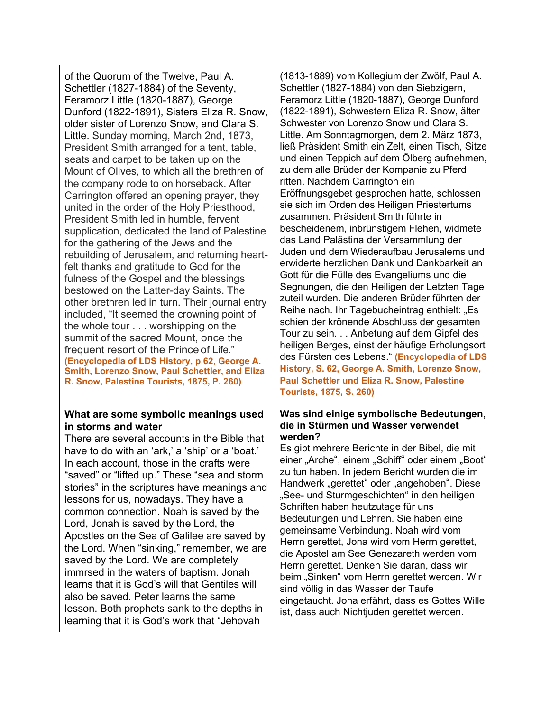| of the Quorum of the Twelve, Paul A.<br>Schettler (1827-1884) of the Seventy,<br>Feramorz Little (1820-1887), George<br>Dunford (1822-1891), Sisters Eliza R. Snow,<br>older sister of Lorenzo Snow, and Clara S.<br>Little. Sunday morning, March 2nd, 1873,<br>President Smith arranged for a tent, table,<br>seats and carpet to be taken up on the<br>Mount of Olives, to which all the brethren of<br>the company rode to on horseback. After<br>Carrington offered an opening prayer, they<br>united in the order of the Holy Priesthood,<br>President Smith led in humble, fervent<br>supplication, dedicated the land of Palestine<br>for the gathering of the Jews and the<br>rebuilding of Jerusalem, and returning heart-<br>felt thanks and gratitude to God for the<br>fulness of the Gospel and the blessings<br>bestowed on the Latter-day Saints. The<br>other brethren led in turn. Their journal entry<br>included, "It seemed the crowning point of<br>the whole tour worshipping on the<br>summit of the sacred Mount, once the<br>frequent resort of the Prince of Life."<br>(Encyclopedia of LDS History, p 62, George A.<br>Smith, Lorenzo Snow, Paul Schettler, and Eliza<br>R. Snow, Palestine Tourists, 1875, P. 260) | (1813-1889) vom Kollegium der Zwölf, Paul A.<br>Schettler (1827-1884) von den Siebzigern,<br>Feramorz Little (1820-1887), George Dunford<br>(1822-1891), Schwestern Eliza R. Snow, älter<br>Schwester von Lorenzo Snow und Clara S.<br>Little. Am Sonntagmorgen, dem 2. März 1873,<br>ließ Präsident Smith ein Zelt, einen Tisch, Sitze<br>und einen Teppich auf dem Ölberg aufnehmen,<br>zu dem alle Brüder der Kompanie zu Pferd<br>ritten. Nachdem Carrington ein<br>Eröffnungsgebet gesprochen hatte, schlossen<br>sie sich im Orden des Heiligen Priestertums<br>zusammen. Präsident Smith führte in<br>bescheidenem, inbrünstigem Flehen, widmete<br>das Land Palästina der Versammlung der<br>Juden und dem Wiederaufbau Jerusalems und<br>erwiderte herzlichen Dank und Dankbarkeit an<br>Gott für die Fülle des Evangeliums und die<br>Segnungen, die den Heiligen der Letzten Tage<br>zuteil wurden. Die anderen Brüder führten der<br>Reihe nach. Ihr Tagebucheintrag enthielt: "Es<br>schien der krönende Abschluss der gesamten<br>Tour zu sein. Anbetung auf dem Gipfel des<br>heiligen Berges, einst der häufige Erholungsort<br>des Fürsten des Lebens." (Encyclopedia of LDS<br>History, S. 62, George A. Smith, Lorenzo Snow,<br>Paul Schettler und Eliza R. Snow, Palestine<br><b>Tourists, 1875, S. 260)</b> |
|-------------------------------------------------------------------------------------------------------------------------------------------------------------------------------------------------------------------------------------------------------------------------------------------------------------------------------------------------------------------------------------------------------------------------------------------------------------------------------------------------------------------------------------------------------------------------------------------------------------------------------------------------------------------------------------------------------------------------------------------------------------------------------------------------------------------------------------------------------------------------------------------------------------------------------------------------------------------------------------------------------------------------------------------------------------------------------------------------------------------------------------------------------------------------------------------------------------------------------------------------|----------------------------------------------------------------------------------------------------------------------------------------------------------------------------------------------------------------------------------------------------------------------------------------------------------------------------------------------------------------------------------------------------------------------------------------------------------------------------------------------------------------------------------------------------------------------------------------------------------------------------------------------------------------------------------------------------------------------------------------------------------------------------------------------------------------------------------------------------------------------------------------------------------------------------------------------------------------------------------------------------------------------------------------------------------------------------------------------------------------------------------------------------------------------------------------------------------------------------------------------------------------------------------------------------------------------------------|
| What are some symbolic meanings used                                                                                                                                                                                                                                                                                                                                                                                                                                                                                                                                                                                                                                                                                                                                                                                                                                                                                                                                                                                                                                                                                                                                                                                                            | Was sind einige symbolische Bedeutungen,                                                                                                                                                                                                                                                                                                                                                                                                                                                                                                                                                                                                                                                                                                                                                                                                                                                                                                                                                                                                                                                                                                                                                                                                                                                                                         |
| in storms and water                                                                                                                                                                                                                                                                                                                                                                                                                                                                                                                                                                                                                                                                                                                                                                                                                                                                                                                                                                                                                                                                                                                                                                                                                             | die in Stürmen und Wasser verwendet                                                                                                                                                                                                                                                                                                                                                                                                                                                                                                                                                                                                                                                                                                                                                                                                                                                                                                                                                                                                                                                                                                                                                                                                                                                                                              |
| There are several accounts in the Bible that                                                                                                                                                                                                                                                                                                                                                                                                                                                                                                                                                                                                                                                                                                                                                                                                                                                                                                                                                                                                                                                                                                                                                                                                    | werden?                                                                                                                                                                                                                                                                                                                                                                                                                                                                                                                                                                                                                                                                                                                                                                                                                                                                                                                                                                                                                                                                                                                                                                                                                                                                                                                          |
| have to do with an 'ark,' a 'ship' or a 'boat.'                                                                                                                                                                                                                                                                                                                                                                                                                                                                                                                                                                                                                                                                                                                                                                                                                                                                                                                                                                                                                                                                                                                                                                                                 | Es gibt mehrere Berichte in der Bibel, die mit                                                                                                                                                                                                                                                                                                                                                                                                                                                                                                                                                                                                                                                                                                                                                                                                                                                                                                                                                                                                                                                                                                                                                                                                                                                                                   |
| In each account, those in the crafts were                                                                                                                                                                                                                                                                                                                                                                                                                                                                                                                                                                                                                                                                                                                                                                                                                                                                                                                                                                                                                                                                                                                                                                                                       | einer "Arche", einem "Schiff" oder einem "Boot"                                                                                                                                                                                                                                                                                                                                                                                                                                                                                                                                                                                                                                                                                                                                                                                                                                                                                                                                                                                                                                                                                                                                                                                                                                                                                  |
| 'saved" or "lifted up." These "sea and storm                                                                                                                                                                                                                                                                                                                                                                                                                                                                                                                                                                                                                                                                                                                                                                                                                                                                                                                                                                                                                                                                                                                                                                                                    | zu tun haben. In jedem Bericht wurden die im                                                                                                                                                                                                                                                                                                                                                                                                                                                                                                                                                                                                                                                                                                                                                                                                                                                                                                                                                                                                                                                                                                                                                                                                                                                                                     |
| stories" in the scriptures have meanings and                                                                                                                                                                                                                                                                                                                                                                                                                                                                                                                                                                                                                                                                                                                                                                                                                                                                                                                                                                                                                                                                                                                                                                                                    | Handwerk "gerettet" oder "angehoben". Diese                                                                                                                                                                                                                                                                                                                                                                                                                                                                                                                                                                                                                                                                                                                                                                                                                                                                                                                                                                                                                                                                                                                                                                                                                                                                                      |
| lessons for us, nowadays. They have a                                                                                                                                                                                                                                                                                                                                                                                                                                                                                                                                                                                                                                                                                                                                                                                                                                                                                                                                                                                                                                                                                                                                                                                                           | "See- und Sturmgeschichten" in den heiligen                                                                                                                                                                                                                                                                                                                                                                                                                                                                                                                                                                                                                                                                                                                                                                                                                                                                                                                                                                                                                                                                                                                                                                                                                                                                                      |
| common connection. Noah is saved by the                                                                                                                                                                                                                                                                                                                                                                                                                                                                                                                                                                                                                                                                                                                                                                                                                                                                                                                                                                                                                                                                                                                                                                                                         | Schriften haben heutzutage für uns                                                                                                                                                                                                                                                                                                                                                                                                                                                                                                                                                                                                                                                                                                                                                                                                                                                                                                                                                                                                                                                                                                                                                                                                                                                                                               |
| Lord, Jonah is saved by the Lord, the                                                                                                                                                                                                                                                                                                                                                                                                                                                                                                                                                                                                                                                                                                                                                                                                                                                                                                                                                                                                                                                                                                                                                                                                           | Bedeutungen und Lehren. Sie haben eine                                                                                                                                                                                                                                                                                                                                                                                                                                                                                                                                                                                                                                                                                                                                                                                                                                                                                                                                                                                                                                                                                                                                                                                                                                                                                           |
| Apostles on the Sea of Galilee are saved by                                                                                                                                                                                                                                                                                                                                                                                                                                                                                                                                                                                                                                                                                                                                                                                                                                                                                                                                                                                                                                                                                                                                                                                                     | gemeinsame Verbindung. Noah wird vom                                                                                                                                                                                                                                                                                                                                                                                                                                                                                                                                                                                                                                                                                                                                                                                                                                                                                                                                                                                                                                                                                                                                                                                                                                                                                             |
| the Lord. When "sinking," remember, we are                                                                                                                                                                                                                                                                                                                                                                                                                                                                                                                                                                                                                                                                                                                                                                                                                                                                                                                                                                                                                                                                                                                                                                                                      | Herrn gerettet, Jona wird vom Herrn gerettet,                                                                                                                                                                                                                                                                                                                                                                                                                                                                                                                                                                                                                                                                                                                                                                                                                                                                                                                                                                                                                                                                                                                                                                                                                                                                                    |
| saved by the Lord. We are completely                                                                                                                                                                                                                                                                                                                                                                                                                                                                                                                                                                                                                                                                                                                                                                                                                                                                                                                                                                                                                                                                                                                                                                                                            | die Apostel am See Genezareth werden vom                                                                                                                                                                                                                                                                                                                                                                                                                                                                                                                                                                                                                                                                                                                                                                                                                                                                                                                                                                                                                                                                                                                                                                                                                                                                                         |
| immrsed in the waters of baptism. Jonah                                                                                                                                                                                                                                                                                                                                                                                                                                                                                                                                                                                                                                                                                                                                                                                                                                                                                                                                                                                                                                                                                                                                                                                                         | Herrn gerettet. Denken Sie daran, dass wir                                                                                                                                                                                                                                                                                                                                                                                                                                                                                                                                                                                                                                                                                                                                                                                                                                                                                                                                                                                                                                                                                                                                                                                                                                                                                       |
| learns that it is God's will that Gentiles will                                                                                                                                                                                                                                                                                                                                                                                                                                                                                                                                                                                                                                                                                                                                                                                                                                                                                                                                                                                                                                                                                                                                                                                                 | beim "Sinken" vom Herrn gerettet werden. Wir                                                                                                                                                                                                                                                                                                                                                                                                                                                                                                                                                                                                                                                                                                                                                                                                                                                                                                                                                                                                                                                                                                                                                                                                                                                                                     |
| also be saved. Peter learns the same                                                                                                                                                                                                                                                                                                                                                                                                                                                                                                                                                                                                                                                                                                                                                                                                                                                                                                                                                                                                                                                                                                                                                                                                            | sind völlig in das Wasser der Taufe                                                                                                                                                                                                                                                                                                                                                                                                                                                                                                                                                                                                                                                                                                                                                                                                                                                                                                                                                                                                                                                                                                                                                                                                                                                                                              |
| lesson. Both prophets sank to the depths in                                                                                                                                                                                                                                                                                                                                                                                                                                                                                                                                                                                                                                                                                                                                                                                                                                                                                                                                                                                                                                                                                                                                                                                                     | eingetaucht. Jona erfährt, dass es Gottes Wille                                                                                                                                                                                                                                                                                                                                                                                                                                                                                                                                                                                                                                                                                                                                                                                                                                                                                                                                                                                                                                                                                                                                                                                                                                                                                  |
| learning that it is God's work that "Jehovah                                                                                                                                                                                                                                                                                                                                                                                                                                                                                                                                                                                                                                                                                                                                                                                                                                                                                                                                                                                                                                                                                                                                                                                                    | ist, dass auch Nichtjuden gerettet werden.                                                                                                                                                                                                                                                                                                                                                                                                                                                                                                                                                                                                                                                                                                                                                                                                                                                                                                                                                                                                                                                                                                                                                                                                                                                                                       |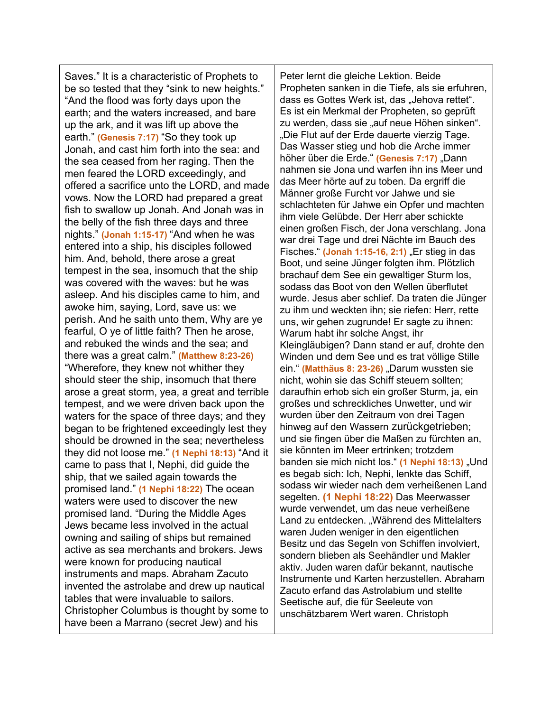Saves." It is a characteristic of Prophets to be so tested that they "sink to new heights." "And the flood was forty days upon the earth; and the waters increased, and bare up the ark, and it was lift up above the earth." **(Genesis 7:17)** "So they took up Jonah, and cast him forth into the sea: and the sea ceased from her raging. Then the men feared the LORD exceedingly, and offered a sacrifice unto the LORD, and made vows. Now the LORD had prepared a great fish to swallow up Jonah. And Jonah was in the belly of the fish three days and three nights." **(Jonah 1:15-17)** "And when he was entered into a ship, his disciples followed him. And, behold, there arose a great tempest in the sea, insomuch that the ship was covered with the waves: but he was asleep. And his disciples came to him, and awoke him, saying, Lord, save us: we perish. And he saith unto them, Why are ye fearful, O ye of little faith? Then he arose, and rebuked the winds and the sea; and there was a great calm." **(Matthew 8:23-26)** "Wherefore, they knew not whither they should steer the ship, insomuch that there arose a great storm, yea, a great and terrible tempest, and we were driven back upon the waters for the space of three days; and they began to be frightened exceedingly lest they should be drowned in the sea; nevertheless they did not loose me." **(1 Nephi 18:13)** "And it came to pass that I, Nephi, did guide the ship, that we sailed again towards the promised land." **(1 Nephi 18:22)** The ocean waters were used to discover the new promised land. "During the Middle Ages Jews became less involved in the actual owning and sailing of ships but remained active as sea merchants and brokers. Jews were known for producing nautical instruments and maps. Abraham Zacuto invented the astrolabe and drew up nautical tables that were invaluable to sailors. Christopher Columbus is thought by some to have been a Marrano (secret Jew) and his

Peter lernt die gleiche Lektion. Beide Propheten sanken in die Tiefe, als sie erfuhren, dass es Gottes Werk ist, das "Jehova rettet". Es ist ein Merkmal der Propheten, so geprüft zu werden, dass sie "auf neue Höhen sinken". "Die Flut auf der Erde dauerte vierzig Tage. Das Wasser stieg und hob die Arche immer höher über die Erde." (Genesis 7:17) "Dann nahmen sie Jona und warfen ihn ins Meer und das Meer hörte auf zu toben. Da ergriff die Männer große Furcht vor Jahwe und sie schlachteten für Jahwe ein Opfer und machten ihm viele Gelübde. Der Herr aber schickte einen großen Fisch, der Jona verschlang. Jona war drei Tage und drei Nächte im Bauch des Fisches." (Jonah 1:15-16, 2:1) "Er stieg in das Boot, und seine Jünger folgten ihm. Plötzlich brachauf dem See ein gewaltiger Sturm los, sodass das Boot von den Wellen überflutet wurde. Jesus aber schlief. Da traten die Jünger zu ihm und weckten ihn; sie riefen: Herr, rette uns, wir gehen zugrunde! Er sagte zu ihnen: Warum habt ihr solche Angst, ihr Kleingläubigen? Dann stand er auf, drohte den Winden und dem See und es trat völlige Stille ein." **(Matthäus 8: 23-26)** "Darum wussten sie nicht, wohin sie das Schiff steuern sollten; daraufhin erhob sich ein großer Sturm, ja, ein großes und schreckliches Unwetter, und wir wurden über den Zeitraum von drei Tagen hinweg auf den Wassern zurückgetrieben; und sie fingen über die Maßen zu fürchten an, sie könnten im Meer ertrinken; trotzdem banden sie mich nicht los." (1 Nephi 18:13) "Und es begab sich: Ich, Nephi, lenkte das Schiff, sodass wir wieder nach dem verheißenen Land segelten. **(1 Nephi 18:22)** Das Meerwasser wurde verwendet, um das neue verheißene Land zu entdecken. "Während des Mittelalters waren Juden weniger in den eigentlichen Besitz und das Segeln von Schiffen involviert, sondern blieben als Seehändler und Makler aktiv. Juden waren dafür bekannt, nautische Instrumente und Karten herzustellen. Abraham Zacuto erfand das Astrolabium und stellte Seetische auf, die für Seeleute von unschätzbarem Wert waren. Christoph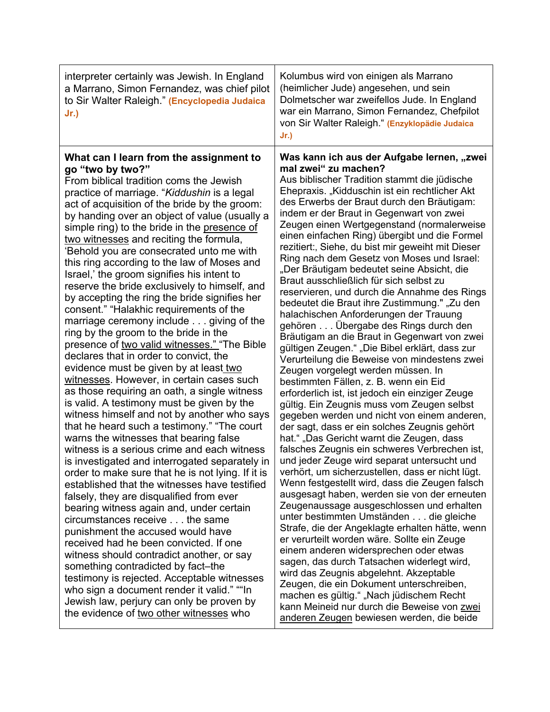| interpreter certainly was Jewish. In England<br>a Marrano, Simon Fernandez, was chief pilot<br>to Sir Walter Raleigh." (Encyclopedia Judaica<br>Jr.)                                                                                                                                                                                                                                                                                                                                                                                                                                                                                                                                                                                                                                                                                                                                                                                                                                                                                                                                                                                                                                                                                                                                                                                                                                                                                                                                                                                                                                                                                                                                                                                                                                                                                        | Kolumbus wird von einigen als Marrano<br>(heimlicher Jude) angesehen, und sein<br>Dolmetscher war zweifellos Jude. In England<br>war ein Marrano, Simon Fernandez, Chefpilot<br>von Sir Walter Raleigh." (Enzyklopädie Judaica<br>$Jr$ .)                                                                                                                                                                                                                                                                                                                                                                                                                                                                                                                                                                                                                                                                                                                                                                                                                                                                                                                                                                                                                                                                                                                                                                                                                                                                                                                                                                                                                                                                                                                                                                                                                                                                                                                                                      |
|---------------------------------------------------------------------------------------------------------------------------------------------------------------------------------------------------------------------------------------------------------------------------------------------------------------------------------------------------------------------------------------------------------------------------------------------------------------------------------------------------------------------------------------------------------------------------------------------------------------------------------------------------------------------------------------------------------------------------------------------------------------------------------------------------------------------------------------------------------------------------------------------------------------------------------------------------------------------------------------------------------------------------------------------------------------------------------------------------------------------------------------------------------------------------------------------------------------------------------------------------------------------------------------------------------------------------------------------------------------------------------------------------------------------------------------------------------------------------------------------------------------------------------------------------------------------------------------------------------------------------------------------------------------------------------------------------------------------------------------------------------------------------------------------------------------------------------------------|------------------------------------------------------------------------------------------------------------------------------------------------------------------------------------------------------------------------------------------------------------------------------------------------------------------------------------------------------------------------------------------------------------------------------------------------------------------------------------------------------------------------------------------------------------------------------------------------------------------------------------------------------------------------------------------------------------------------------------------------------------------------------------------------------------------------------------------------------------------------------------------------------------------------------------------------------------------------------------------------------------------------------------------------------------------------------------------------------------------------------------------------------------------------------------------------------------------------------------------------------------------------------------------------------------------------------------------------------------------------------------------------------------------------------------------------------------------------------------------------------------------------------------------------------------------------------------------------------------------------------------------------------------------------------------------------------------------------------------------------------------------------------------------------------------------------------------------------------------------------------------------------------------------------------------------------------------------------------------------------|
| What can I learn from the assignment to<br>go "two by two?"<br>From biblical tradition coms the Jewish<br>practice of marriage. "Kiddushin is a legal<br>act of acquisition of the bride by the groom:<br>by handing over an object of value (usually a<br>simple ring) to the bride in the presence of<br>two witnesses and reciting the formula,<br>'Behold you are consecrated unto me with<br>this ring according to the law of Moses and<br>Israel,' the groom signifies his intent to<br>reserve the bride exclusively to himself, and<br>by accepting the ring the bride signifies her<br>consent." "Halakhic requirements of the<br>marriage ceremony include giving of the<br>ring by the groom to the bride in the<br>presence of two valid witnesses." "The Bible<br>declares that in order to convict, the<br>evidence must be given by at least two<br>witnesses. However, in certain cases such<br>as those requiring an oath, a single witness<br>is valid. A testimony must be given by the<br>witness himself and not by another who says<br>that he heard such a testimony." "The court<br>warns the witnesses that bearing false<br>witness is a serious crime and each witness<br>is investigated and interrogated separately in<br>order to make sure that he is not lying. If it is<br>established that the witnesses have testified<br>falsely, they are disqualified from ever<br>bearing witness again and, under certain<br>circumstances receive the same<br>punishment the accused would have<br>received had he been convicted. If one<br>witness should contradict another, or say<br>something contradicted by fact-the<br>testimony is rejected. Acceptable witnesses<br>who sign a document render it valid." ""In<br>Jewish law, perjury can only be proven by<br>the evidence of two other witnesses who | Was kann ich aus der Aufgabe lernen, "zwei<br>mal zwei" zu machen?<br>Aus biblischer Tradition stammt die jüdische<br>Ehepraxis. "Kidduschin ist ein rechtlicher Akt<br>des Erwerbs der Braut durch den Bräutigam:<br>indem er der Braut in Gegenwart von zwei<br>Zeugen einen Wertgegenstand (normalerweise<br>einen einfachen Ring) übergibt und die Formel<br>rezitiert:, Siehe, du bist mir geweiht mit Dieser<br>Ring nach dem Gesetz von Moses und Israel:<br>"Der Bräutigam bedeutet seine Absicht, die<br>Braut ausschließlich für sich selbst zu<br>reservieren, und durch die Annahme des Rings<br>bedeutet die Braut ihre Zustimmung." "Zu den<br>halachischen Anforderungen der Trauung<br>gehören Übergabe des Rings durch den<br>Bräutigam an die Braut in Gegenwart von zwei<br>gültigen Zeugen." "Die Bibel erklärt, dass zur<br>Verurteilung die Beweise von mindestens zwei<br>Zeugen vorgelegt werden müssen. In<br>bestimmten Fällen, z. B. wenn ein Eid<br>erforderlich ist, ist jedoch ein einziger Zeuge<br>gültig. Ein Zeugnis muss vom Zeugen selbst<br>gegeben werden und nicht von einem anderen,<br>der sagt, dass er ein solches Zeugnis gehört<br>hat." "Das Gericht warnt die Zeugen, dass<br>falsches Zeugnis ein schweres Verbrechen ist,<br>und jeder Zeuge wird separat untersucht und<br>verhört, um sicherzustellen, dass er nicht lügt.<br>Wenn festgestellt wird, dass die Zeugen falsch<br>ausgesagt haben, werden sie von der erneuten<br>Zeugenaussage ausgeschlossen und erhalten<br>unter bestimmten Umständen die gleiche<br>Strafe, die der Angeklagte erhalten hätte, wenn<br>er verurteilt worden wäre. Sollte ein Zeuge<br>einem anderen widersprechen oder etwas<br>sagen, das durch Tatsachen widerlegt wird,<br>wird das Zeugnis abgelehnt. Akzeptable<br>Zeugen, die ein Dokument unterschreiben,<br>machen es gültig." "Nach jüdischem Recht<br>kann Meineid nur durch die Beweise von zwei<br>anderen Zeugen bewiesen werden, die beide |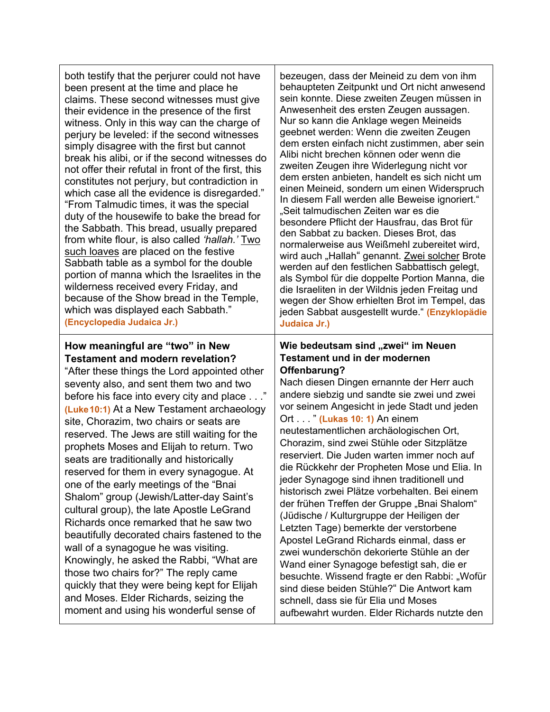| both testify that the perjurer could not have<br>been present at the time and place he<br>claims. These second witnesses must give<br>their evidence in the presence of the first<br>witness. Only in this way can the charge of<br>perjury be leveled: if the second witnesses<br>simply disagree with the first but cannot<br>break his alibi, or if the second witnesses do<br>not offer their refutal in front of the first, this<br>constitutes not perjury, but contradiction in<br>which case all the evidence is disregarded."<br>"From Talmudic times, it was the special<br>duty of the housewife to bake the bread for<br>the Sabbath. This bread, usually prepared<br>from white flour, is also called 'hallah.' Two<br>such loaves are placed on the festive<br>Sabbath table as a symbol for the double<br>portion of manna which the Israelites in the<br>wilderness received every Friday, and<br>because of the Show bread in the Temple,<br>which was displayed each Sabbath."<br>(Encyclopedia Judaica Jr.) | bezeugen, dass der Meineid zu dem von ihm<br>behaupteten Zeitpunkt und Ort nicht anwesend<br>sein konnte. Diese zweiten Zeugen müssen in<br>Anwesenheit des ersten Zeugen aussagen.<br>Nur so kann die Anklage wegen Meineids<br>geebnet werden: Wenn die zweiten Zeugen<br>dem ersten einfach nicht zustimmen, aber sein<br>Alibi nicht brechen können oder wenn die<br>zweiten Zeugen ihre Widerlegung nicht vor<br>dem ersten anbieten, handelt es sich nicht um<br>einen Meineid, sondern um einen Widerspruch<br>In diesem Fall werden alle Beweise ignoriert."<br>"Seit talmudischen Zeiten war es die<br>besondere Pflicht der Hausfrau, das Brot für<br>den Sabbat zu backen. Dieses Brot, das<br>normalerweise aus Weißmehl zubereitet wird,<br>wird auch "Hallah" genannt. Zwei solcher Brote<br>werden auf den festlichen Sabbattisch gelegt,<br>als Symbol für die doppelte Portion Manna, die<br>die Israeliten in der Wildnis jeden Freitag und<br>wegen der Show erhielten Brot im Tempel, das<br>jeden Sabbat ausgestellt wurde." (Enzyklopädie<br>Judaica Jr.) |
|--------------------------------------------------------------------------------------------------------------------------------------------------------------------------------------------------------------------------------------------------------------------------------------------------------------------------------------------------------------------------------------------------------------------------------------------------------------------------------------------------------------------------------------------------------------------------------------------------------------------------------------------------------------------------------------------------------------------------------------------------------------------------------------------------------------------------------------------------------------------------------------------------------------------------------------------------------------------------------------------------------------------------------|---------------------------------------------------------------------------------------------------------------------------------------------------------------------------------------------------------------------------------------------------------------------------------------------------------------------------------------------------------------------------------------------------------------------------------------------------------------------------------------------------------------------------------------------------------------------------------------------------------------------------------------------------------------------------------------------------------------------------------------------------------------------------------------------------------------------------------------------------------------------------------------------------------------------------------------------------------------------------------------------------------------------------------------------------------------------------------|
| How meaningful are "two" in New<br><b>Testament and modern revelation?</b><br>"After these things the Lord appointed other<br>seventy also, and sent them two and two<br>before his face into every city and place"<br>(Luke 10:1) At a New Testament archaeology<br>site, Chorazim, two chairs or seats are<br>reserved. The Jews are still waiting for the<br>prophets Moses and Elijah to return. Two<br>seats are traditionally and historically<br>reserved for them in every synagogue. At<br>one of the early meetings of the "Bnai<br>Shalom" group (Jewish/Latter-day Saint's<br>cultural group), the late Apostle LeGrand<br>Richards once remarked that he saw two<br>beautifully decorated chairs fastened to the<br>wall of a synagogue he was visiting.<br>Knowingly, he asked the Rabbi, "What are<br>those two chairs for?" The reply came<br>quickly that they were being kept for Elijah<br>and Moses. Elder Richards, seizing the<br>moment and using his wonderful sense of                                | Wie bedeutsam sind "zwei" im Neuen<br><b>Testament und in der modernen</b><br>Offenbarung?<br>Nach diesen Dingen ernannte der Herr auch<br>andere siebzig und sandte sie zwei und zwei<br>vor seinem Angesicht in jede Stadt und jeden<br>Ort " (Lukas 10: 1) An einem<br>neutestamentlichen archäologischen Ort,<br>Chorazim, sind zwei Stühle oder Sitzplätze<br>reserviert. Die Juden warten immer noch auf<br>die Rückkehr der Propheten Mose und Elia. In<br>jeder Synagoge sind ihnen traditionell und<br>historisch zwei Plätze vorbehalten. Bei einem<br>der frühen Treffen der Gruppe "Bnai Shalom"<br>(Jüdische / Kulturgruppe der Heiligen der<br>Letzten Tage) bemerkte der verstorbene<br>Apostel LeGrand Richards einmal, dass er<br>zwei wunderschön dekorierte Stühle an der<br>Wand einer Synagoge befestigt sah, die er<br>besuchte. Wissend fragte er den Rabbi: "Wofür<br>sind diese beiden Stühle?" Die Antwort kam<br>schnell, dass sie für Elia und Moses<br>aufbewahrt wurden. Elder Richards nutzte den                                                |